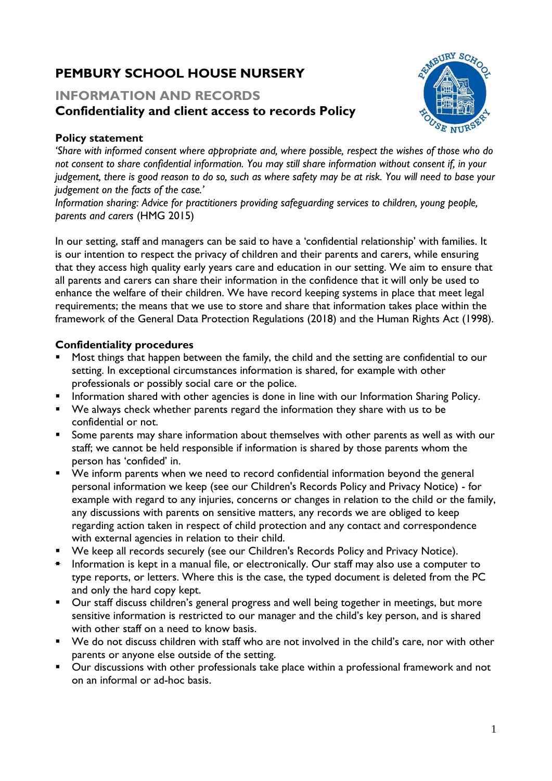# **PEMBURY SCHOOL HOUSE NURSERY**

## **INFORMATION AND RECORDS Confidentiality and client access to records Policy**



### **Policy statement**

*'Share with informed consent where appropriate and, where possible, respect the wishes of those who do not consent to share confidential information. You may still share information without consent if, in your judgement, there is good reason to do so, such as where safety may be at risk. You will need to base your judgement on the facts of the case.'*

*Information sharing: Advice for practitioners providing safeguarding services to children, young people, parents and carers* (HMG 2015)

In our setting, staff and managers can be said to have a 'confidential relationship' with families. It is our intention to respect the privacy of children and their parents and carers, while ensuring that they access high quality early years care and education in our setting. We aim to ensure that all parents and carers can share their information in the confidence that it will only be used to enhance the welfare of their children. We have record keeping systems in place that meet legal requirements; the means that we use to store and share that information takes place within the framework of the General Data Protection Regulations (2018) and the Human Rights Act (1998).

#### **Confidentiality procedures**

- Most things that happen between the family, the child and the setting are confidential to our setting. In exceptional circumstances information is shared, for example with other professionals or possibly social care or the police.
- Information shared with other agencies is done in line with our Information Sharing Policy.
- We always check whether parents regard the information they share with us to be confidential or not.
- Some parents may share information about themselves with other parents as well as with our staff; we cannot be held responsible if information is shared by those parents whom the person has 'confided' in.
- We inform parents when we need to record confidential information beyond the general personal information we keep (see our Children's Records Policy and Privacy Notice) - for example with regard to any injuries, concerns or changes in relation to the child or the family, any discussions with parents on sensitive matters, any records we are obliged to keep regarding action taken in respect of child protection and any contact and correspondence with external agencies in relation to their child.
- We keep all records securely (see our Children's Records Policy and Privacy Notice).
- Information is kept in a manual file, or electronically. Our staff may also use a computer to type reports, or letters. Where this is the case, the typed document is deleted from the PC and only the hard copy kept.
- Our staff discuss children's general progress and well being together in meetings, but more sensitive information is restricted to our manager and the child's key person, and is shared with other staff on a need to know basis.
- We do not discuss children with staff who are not involved in the child's care, nor with other parents or anyone else outside of the setting.
- Our discussions with other professionals take place within a professional framework and not on an informal or ad-hoc basis.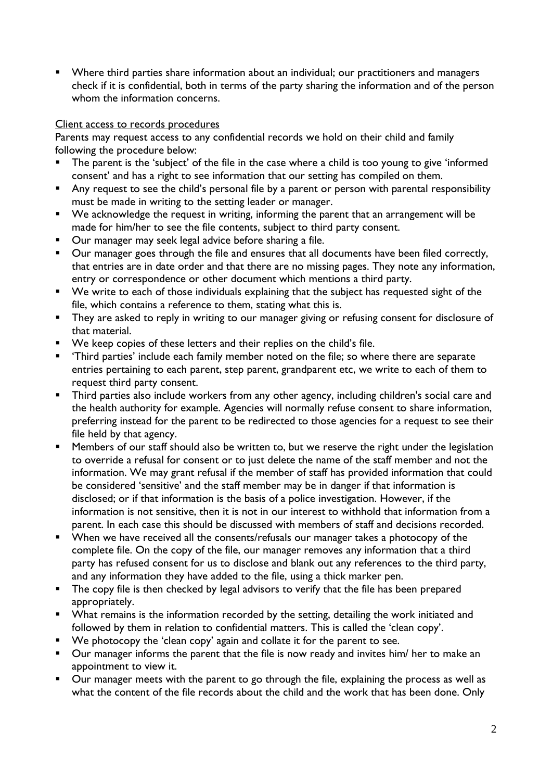■ Where third parties share information about an individual; our practitioners and managers check if it is confidential, both in terms of the party sharing the information and of the person whom the information concerns.

#### Client access to records procedures

Parents may request access to any confidential records we hold on their child and family following the procedure below:

- The parent is the 'subject' of the file in the case where a child is too young to give 'informed consent' and has a right to see information that our setting has compiled on them.
- Any request to see the child's personal file by a parent or person with parental responsibility must be made in writing to the setting leader or manager.
- We acknowledge the request in writing, informing the parent that an arrangement will be made for him/her to see the file contents, subject to third party consent.
- Our manager may seek legal advice before sharing a file.
- Our manager goes through the file and ensures that all documents have been filed correctly, that entries are in date order and that there are no missing pages. They note any information, entry or correspondence or other document which mentions a third party.
- We write to each of those individuals explaining that the subject has requested sight of the file, which contains a reference to them, stating what this is.
- **They are asked to reply in writing to our manager giving or refusing consent for disclosure of** that material.
- We keep copies of these letters and their replies on the child's file.
- 'Third parties' include each family member noted on the file; so where there are separate entries pertaining to each parent, step parent, grandparent etc, we write to each of them to request third party consent.
- **•** Third parties also include workers from any other agency, including children's social care and the health authority for example. Agencies will normally refuse consent to share information, preferring instead for the parent to be redirected to those agencies for a request to see their file held by that agency.
- Members of our staff should also be written to, but we reserve the right under the legislation to override a refusal for consent or to just delete the name of the staff member and not the information. We may grant refusal if the member of staff has provided information that could be considered 'sensitive' and the staff member may be in danger if that information is disclosed; or if that information is the basis of a police investigation. However, if the information is not sensitive, then it is not in our interest to withhold that information from a parent. In each case this should be discussed with members of staff and decisions recorded.
- When we have received all the consents/refusals our manager takes a photocopy of the complete file. On the copy of the file, our manager removes any information that a third party has refused consent for us to disclose and blank out any references to the third party, and any information they have added to the file, using a thick marker pen.
- **The copy file is then checked by legal advisors to verify that the file has been prepared** appropriately.
- What remains is the information recorded by the setting, detailing the work initiated and followed by them in relation to confidential matters. This is called the 'clean copy'.
- $\bullet$  We photocopy the 'clean copy' again and collate it for the parent to see.
- Our manager informs the parent that the file is now ready and invites him/ her to make an appointment to view it.
- Our manager meets with the parent to go through the file, explaining the process as well as what the content of the file records about the child and the work that has been done. Only